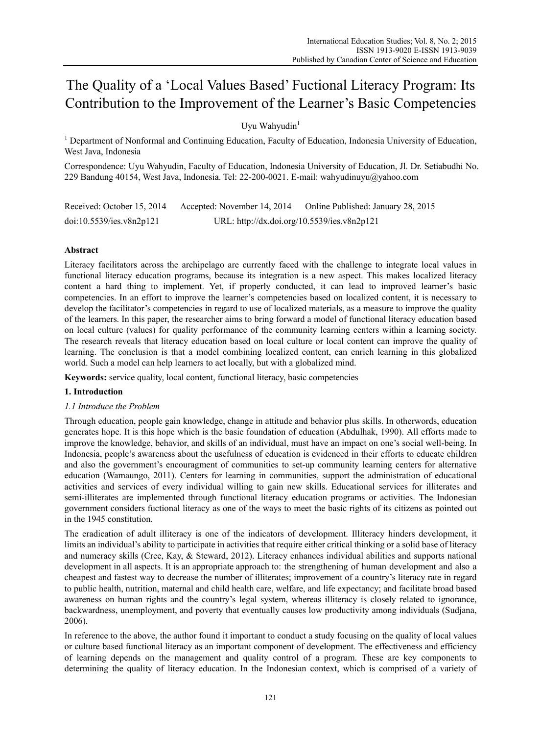# The Quality of a 'Local Values Based' Fuctional Literacy Program: Its Contribution to the Improvement of the Learner's Basic Competencies

Uyu Wahyudin<sup>1</sup>

<sup>1</sup> Department of Nonformal and Continuing Education, Faculty of Education, Indonesia University of Education, West Java, Indonesia

Correspondence: Uyu Wahyudin, Faculty of Education, Indonesia University of Education, Jl. Dr. Setiabudhi No. 229 Bandung 40154, West Java, Indonesia. Tel: 22-200-0021. E-mail: wahyudinuyu@yahoo.com

Received: October 15, 2014 Accepted: November 14, 2014 Online Published: January 28, 2015 doi:10.5539/ies.v8n2p121 URL: http://dx.doi.org/10.5539/ies.v8n2p121

# **Abstract**

Literacy facilitators across the archipelago are currently faced with the challenge to integrate local values in functional literacy education programs, because its integration is a new aspect. This makes localized literacy content a hard thing to implement. Yet, if properly conducted, it can lead to improved learner's basic competencies. In an effort to improve the learner's competencies based on localized content, it is necessary to develop the facilitator's competencies in regard to use of localized materials, as a measure to improve the quality of the learners. In this paper, the researcher aims to bring forward a model of functional literacy education based on local culture (values) for quality performance of the community learning centers within a learning society. The research reveals that literacy education based on local culture or local content can improve the quality of learning. The conclusion is that a model combining localized content, can enrich learning in this globalized world. Such a model can help learners to act locally, but with a globalized mind.

**Keywords:** service quality, local content, functional literacy, basic competencies

# **1. Introduction**

# *1.1 Introduce the Problem*

Through education, people gain knowledge, change in attitude and behavior plus skills. In otherwords, education generates hope. It is this hope which is the basic foundation of education (Abdulhak, 1990). All efforts made to improve the knowledge, behavior, and skills of an individual, must have an impact on one's social well-being. In Indonesia, people's awareness about the usefulness of education is evidenced in their efforts to educate children and also the government's encouragment of communities to set-up community learning centers for alternative education (Wamaungo, 2011). Centers for learning in communities, support the administration of educational activities and services of every individual willing to gain new skills. Educational services for illiterates and semi-illiterates are implemented through functional literacy education programs or activities. The Indonesian government considers fuctional literacy as one of the ways to meet the basic rights of its citizens as pointed out in the 1945 constitution.

The eradication of adult illiteracy is one of the indicators of development. Illiteracy hinders development, it limits an individual's ability to participate in activities that require either critical thinking or a solid base of literacy and numeracy skills (Cree, Kay, & Steward, 2012). Literacy enhances individual abilities and supports national development in all aspects. It is an appropriate approach to: the strengthening of human development and also a cheapest and fastest way to decrease the number of illiterates; improvement of a country's literacy rate in regard to public health, nutrition, maternal and child health care, welfare, and life expectancy; and facilitate broad based awareness on human rights and the country's legal system, whereas illiteracy is closely related to ignorance, backwardness, unemployment, and poverty that eventually causes low productivity among individuals (Sudjana, 2006).

In reference to the above, the author found it important to conduct a study focusing on the quality of local values or culture based functional literacy as an important component of development. The effectiveness and efficiency of learning depends on the management and quality control of a program. These are key components to determining the quality of literacy education. In the Indonesian context, which is comprised of a variety of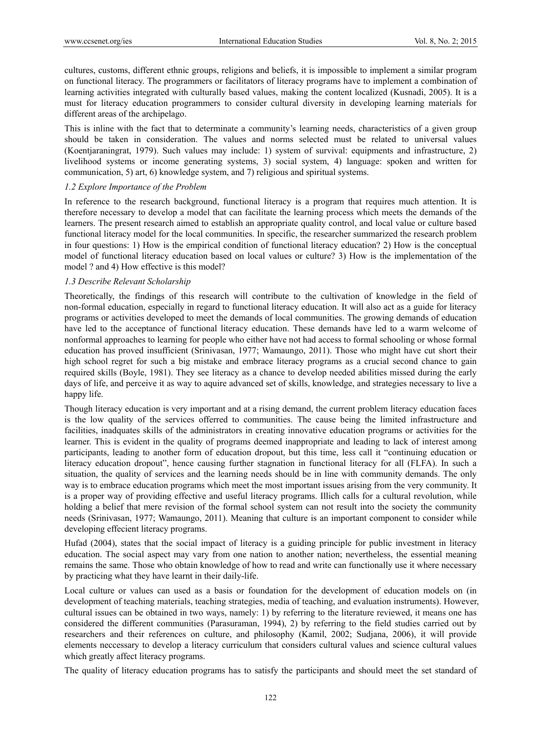cultures, customs, different ethnic groups, religions and beliefs, it is impossible to implement a similar program on functional literacy. The programmers or facilitators of literacy programs have to implement a combination of learning activities integrated with culturally based values, making the content localized (Kusnadi, 2005). It is a must for literacy education programmers to consider cultural diversity in developing learning materials for different areas of the archipelago.

This is inline with the fact that to determinate a community's learning needs, characteristics of a given group should be taken in consideration. The values and norms selected must be related to universal values (Koentjaraningrat, 1979). Such values may include: 1) system of survival: equipments and infrastructure, 2) livelihood systems or income generating systems, 3) social system, 4) language: spoken and written for communication, 5) art, 6) knowledge system, and 7) religious and spiritual systems.

## *1.2 Explore Importance of the Problem*

In reference to the research background, functional literacy is a program that requires much attention. It is therefore necessary to develop a model that can facilitate the learning process which meets the demands of the learners. The present research aimed to establish an appropriate quality control, and local value or culture based functional literacy model for the local communities. In specific, the researcher summarized the research problem in four questions: 1) How is the empirical condition of functional literacy education? 2) How is the conceptual model of functional literacy education based on local values or culture? 3) How is the implementation of the model ? and 4) How effective is this model?

#### *1.3 Describe Relevant Scholarship*

Theoretically, the findings of this research will contribute to the cultivation of knowledge in the field of non-formal education, especially in regard to functional literacy education. It will also act as a guide for literacy programs or activities developed to meet the demands of local communities. The growing demands of education have led to the acceptance of functional literacy education. These demands have led to a warm welcome of nonformal approaches to learning for people who either have not had access to formal schooling or whose formal education has proved insufficient (Srinivasan, 1977; Wamaungo, 2011). Those who might have cut short their high school regret for such a big mistake and embrace literacy programs as a crucial second chance to gain required skills (Boyle, 1981). They see literacy as a chance to develop needed abilities missed during the early days of life, and perceive it as way to aquire advanced set of skills, knowledge, and strategies necessary to live a happy life.

Though literacy education is very important and at a rising demand, the current problem literacy education faces is the low quality of the services offerred to communities. The cause being the limited infrastructure and facilities, inadquates skills of the administrators in creating innovative education programs or activities for the learner. This is evident in the quality of programs deemed inappropriate and leading to lack of interest among participants, leading to another form of education dropout, but this time, less call it "continuing education or literacy education dropout", hence causing further stagnation in functional literacy for all (FLFA). In such a situation, the quality of services and the learning needs should be in line with community demands. The only way is to embrace education programs which meet the most important issues arising from the very community. It is a proper way of providing effective and useful literacy programs. Illich calls for a cultural revolution, while holding a belief that mere revision of the formal school system can not result into the society the community needs (Srinivasan, 1977; Wamaungo, 2011). Meaning that culture is an important component to consider while developing effecient literacy programs.

Hufad (2004), states that the social impact of literacy is a guiding principle for public investment in literacy education. The social aspect may vary from one nation to another nation; nevertheless, the essential meaning remains the same. Those who obtain knowledge of how to read and write can functionally use it where necessary by practicing what they have learnt in their daily-life.

Local culture or values can used as a basis or foundation for the development of education models on (in development of teaching materials, teaching strategies, media of teaching, and evaluation instruments). However, cultural issues can be obtained in two ways, namely: 1) by referring to the literature reviewed, it means one has considered the different communities (Parasuraman, 1994), 2) by referring to the field studies carried out by researchers and their references on culture, and philosophy (Kamil, 2002; Sudjana, 2006), it will provide elements neccessary to develop a literacy curriculum that considers cultural values and science cultural values which greatly affect literacy programs.

The quality of literacy education programs has to satisfy the participants and should meet the set standard of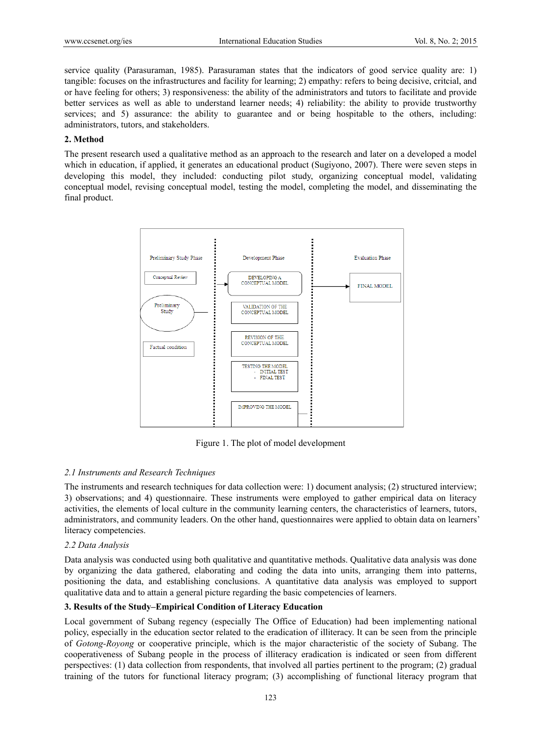service quality (Parasuraman, 1985). Parasuraman states that the indicators of good service quality are: 1) tangible: focuses on the infrastructures and facility for learning; 2) empathy: refers to being decisive, critcial, and or have feeling for others; 3) responsiveness: the ability of the administrators and tutors to facilitate and provide better services as well as able to understand learner needs; 4) reliability: the ability to provide trustworthy services; and 5) assurance: the ability to guarantee and or being hospitable to the others, including: administrators, tutors, and stakeholders.

#### **2. Method**

The present research used a qualitative method as an approach to the research and later on a developed a model which in education, if applied, it generates an educational product (Sugiyono, 2007). There were seven steps in developing this model, they included: conducting pilot study, organizing conceptual model, validating conceptual model, revising conceptual model, testing the model, completing the model, and disseminating the final product.



Figure 1. The plot of model development

# *2.1 Instruments and Research Techniques*

The instruments and research techniques for data collection were: 1) document analysis; (2) structured interview; 3) observations; and 4) questionnaire. These instruments were employed to gather empirical data on literacy activities, the elements of local culture in the community learning centers, the characteristics of learners, tutors, administrators, and community leaders. On the other hand, questionnaires were applied to obtain data on learners' literacy competencies.

# *2.2 Data Analysis*

Data analysis was conducted using both qualitative and quantitative methods. Qualitative data analysis was done by organizing the data gathered, elaborating and coding the data into units, arranging them into patterns, positioning the data, and establishing conclusions. A quantitative data analysis was employed to support qualitative data and to attain a general picture regarding the basic competencies of learners.

#### **3. Results of the Study–Empirical Condition of Literacy Education**

Local government of Subang regency (especially The Office of Education) had been implementing national policy, especially in the education sector related to the eradication of illiteracy. It can be seen from the principle of *Gotong-Royong* or cooperative principle, which is the major characteristic of the society of Subang. The cooperativeness of Subang people in the process of illiteracy eradication is indicated or seen from different perspectives: (1) data collection from respondents, that involved all parties pertinent to the program; (2) gradual training of the tutors for functional literacy program; (3) accomplishing of functional literacy program that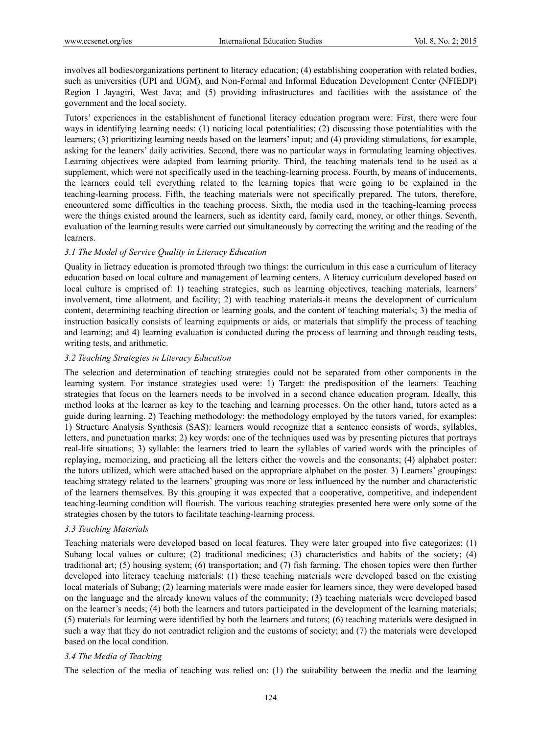involves all bodies/organizations pertinent to literacy education; (4) establishing cooperation with related bodies, such as universities (UPI and UGM), and Non-Formal and Informal Education Development Center (NFIEDP) Region I Jayagiri, West Java; and (5) providing infrastructures and facilities with the assistance of the government and the local society.

Tutors' experiences in the establishment of functional literacy education program were: First, there were four ways in identifying learning needs: (1) noticing local potentialities; (2) discussing those potentialities with the learners; (3) prioritizing learning needs based on the learners' input; and (4) providing stimulations, for example, asking for the leaners' daily activities. Second, there was no particular ways in formulating learning objectives. Learning objectives were adapted from learning priority. Third, the teaching materials tend to be used as a supplement, which were not specifically used in the teaching-learning process. Fourth, by means of inducements, the learners could tell everything related to the learning topics that were going to be explained in the teaching-learning process. Fifth, the teaching materials were not specifically prepared. The tutors, therefore, encountered some difficulties in the teaching process. Sixth, the media used in the teaching-learning process were the things existed around the learners, such as identity card, family card, money, or other things. Seventh, evaluation of the learning results were carried out simultaneously by correcting the writing and the reading of the learners.

## *3.1 The Model of Service Quality in Literacy Education*

Quality in lietracy education is promoted through two things: the curriculum in this case a curriculum of literacy education based on local culture and management of learning centers. A literacy curriculum developed based on local culture is cmprised of: 1) teaching strategies, such as learning objectives, teaching materials, learners' involvement, time allotment, and facility; 2) with teaching materials-it means the development of curriculum content, determining teaching direction or learning goals, and the content of teaching materials; 3) the media of instruction basically consists of learning equipments or aids, or materials that simplify the process of teaching and learning; and 4) learning evaluation is conducted during the process of learning and through reading tests, writing tests, and arithmetic.

#### *3.2 Teaching Strategies in Literacy Education*

The selection and determination of teaching strategies could not be separated from other components in the learning system. For instance strategies used were: 1) Target: the predisposition of the learners. Teaching strategies that focus on the learners needs to be involved in a second chance education program. Ideally, this method looks at the learner as key to the teaching and learning processes. On the other hand, tutors acted as a guide during learning. 2) Teaching methodology: the methodology employed by the tutors varied, for examples: 1) Structure Analysis Synthesis (SAS): learners would recognize that a sentence consists of words, syllables, letters, and punctuation marks; 2) key words: one of the techniques used was by presenting pictures that portrays real-life situations; 3) syllable: the learners tried to learn the syllables of varied words with the principles of replaying, memorizing, and practicing all the letters either the vowels and the consonants; (4) alphabet poster: the tutors utilized, which were attached based on the appropriate alphabet on the poster. 3) Learners' groupings: teaching strategy related to the learners' grouping was more or less influenced by the number and characteristic of the learners themselves. By this grouping it was expected that a cooperative, competitive, and independent teaching-learning condition will flourish. The various teaching strategies presented here were only some of the strategies chosen by the tutors to facilitate teaching-learning process.

#### *3.3 Teaching Materials*

Teaching materials were developed based on local features. They were later grouped into five categorizes: (1) Subang local values or culture; (2) traditional medicines; (3) characteristics and habits of the society; (4) traditional art; (5) housing system; (6) transportation; and (7) fish farming. The chosen topics were then further developed into literacy teaching materials: (1) these teaching materials were developed based on the existing local materials of Subang; (2) learning materials were made easier for learners since, they were developed based on the language and the already known values of the community; (3) teaching materials were developed based on the learner's needs; (4) both the learners and tutors participated in the development of the learning materials; (5) materials for learning were identified by both the learners and tutors; (6) teaching materials were designed in such a way that they do not contradict religion and the customs of society; and (7) the materials were developed based on the local condition.

## *3.4 The Media of Teaching*

The selection of the media of teaching was relied on: (1) the suitability between the media and the learning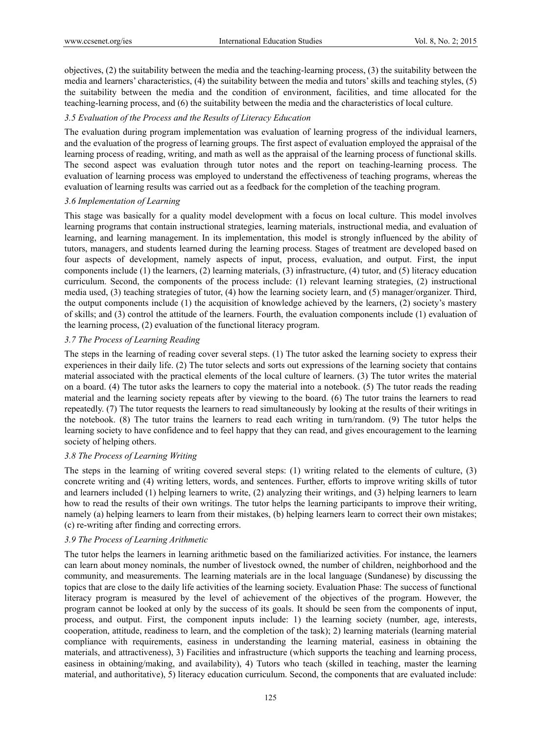objectives, (2) the suitability between the media and the teaching-learning process, (3) the suitability between the media and learners' characteristics, (4) the suitability between the media and tutors' skills and teaching styles, (5) the suitability between the media and the condition of environment, facilities, and time allocated for the teaching-learning process, and (6) the suitability between the media and the characteristics of local culture.

## *3.5 Evaluation of the Process and the Results of Literacy Education*

The evaluation during program implementation was evaluation of learning progress of the individual learners, and the evaluation of the progress of learning groups. The first aspect of evaluation employed the appraisal of the learning process of reading, writing, and math as well as the appraisal of the learning process of functional skills. The second aspect was evaluation through tutor notes and the report on teaching-learning process. The evaluation of learning process was employed to understand the effectiveness of teaching programs, whereas the evaluation of learning results was carried out as a feedback for the completion of the teaching program.

#### *3.6 Implementation of Learning*

This stage was basically for a quality model development with a focus on local culture. This model involves learning programs that contain instructional strategies, learning materials, instructional media, and evaluation of learning, and learning management. In its implementation, this model is strongly influenced by the ability of tutors, managers, and students learned during the learning process. Stages of treatment are developed based on four aspects of development, namely aspects of input, process, evaluation, and output. First, the input components include (1) the learners, (2) learning materials, (3) infrastructure, (4) tutor, and (5) literacy education curriculum. Second, the components of the process include: (1) relevant learning strategies, (2) instructional media used, (3) teaching strategies of tutor, (4) how the learning society learn, and (5) manager/organizer. Third, the output components include (1) the acquisition of knowledge achieved by the learners, (2) society's mastery of skills; and (3) control the attitude of the learners. Fourth, the evaluation components include (1) evaluation of the learning process, (2) evaluation of the functional literacy program.

#### *3.7 The Process of Learning Reading*

The steps in the learning of reading cover several steps. (1) The tutor asked the learning society to express their experiences in their daily life. (2) The tutor selects and sorts out expressions of the learning society that contains material associated with the practical elements of the local culture of learners. (3) The tutor writes the material on a board. (4) The tutor asks the learners to copy the material into a notebook. (5) The tutor reads the reading material and the learning society repeats after by viewing to the board. (6) The tutor trains the learners to read repeatedly. (7) The tutor requests the learners to read simultaneously by looking at the results of their writings in the notebook. (8) The tutor trains the learners to read each writing in turn/random. (9) The tutor helps the learning society to have confidence and to feel happy that they can read, and gives encouragement to the learning society of helping others.

#### *3.8 The Process of Learning Writing*

The steps in the learning of writing covered several steps: (1) writing related to the elements of culture, (3) concrete writing and (4) writing letters, words, and sentences. Further, efforts to improve writing skills of tutor and learners included (1) helping learners to write, (2) analyzing their writings, and (3) helping learners to learn how to read the results of their own writings. The tutor helps the learning participants to improve their writing, namely (a) helping learners to learn from their mistakes, (b) helping learners learn to correct their own mistakes; (c) re-writing after finding and correcting errors.

#### *3.9 The Process of Learning Arithmetic*

The tutor helps the learners in learning arithmetic based on the familiarized activities. For instance, the learners can learn about money nominals, the number of livestock owned, the number of children, neighborhood and the community, and measurements. The learning materials are in the local language (Sundanese) by discussing the topics that are close to the daily life activities of the learning society. Evaluation Phase: The success of functional literacy program is measured by the level of achievement of the objectives of the program. However, the program cannot be looked at only by the success of its goals. It should be seen from the components of input, process, and output. First, the component inputs include: 1) the learning society (number, age, interests, cooperation, attitude, readiness to learn, and the completion of the task); 2) learning materials (learning material compliance with requirements, easiness in understanding the learning material, easiness in obtaining the materials, and attractiveness), 3) Facilities and infrastructure (which supports the teaching and learning process, easiness in obtaining/making, and availability), 4) Tutors who teach (skilled in teaching, master the learning material, and authoritative), 5) literacy education curriculum. Second, the components that are evaluated include: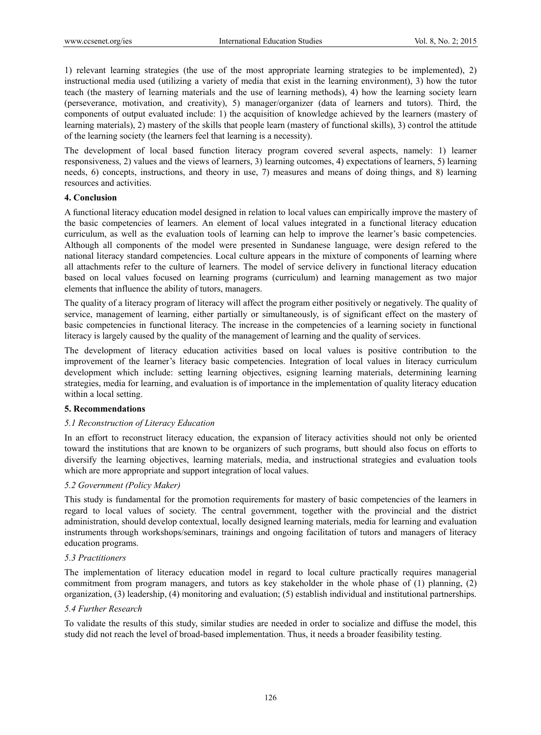1) relevant learning strategies (the use of the most appropriate learning strategies to be implemented), 2) instructional media used (utilizing a variety of media that exist in the learning environment), 3) how the tutor teach (the mastery of learning materials and the use of learning methods), 4) how the learning society learn (perseverance, motivation, and creativity), 5) manager/organizer (data of learners and tutors). Third, the components of output evaluated include: 1) the acquisition of knowledge achieved by the learners (mastery of learning materials), 2) mastery of the skills that people learn (mastery of functional skills), 3) control the attitude of the learning society (the learners feel that learning is a necessity).

The development of local based function literacy program covered several aspects, namely: 1) learner responsiveness, 2) values and the views of learners, 3) learning outcomes, 4) expectations of learners, 5) learning needs, 6) concepts, instructions, and theory in use, 7) measures and means of doing things, and 8) learning resources and activities.

#### **4. Conclusion**

A functional literacy education model designed in relation to local values can empirically improve the mastery of the basic competencies of learners. An element of local values integrated in a functional literacy education curriculum, as well as the evaluation tools of learning can help to improve the learner's basic competencies. Although all components of the model were presented in Sundanese language, were design refered to the national literacy standard competencies. Local culture appears in the mixture of components of learning where all attachments refer to the culture of learners. The model of service delivery in functional literacy education based on local values focused on learning programs (curriculum) and learning management as two major elements that influence the ability of tutors, managers.

The quality of a literacy program of literacy will affect the program either positively or negatively. The quality of service, management of learning, either partially or simultaneously, is of significant effect on the mastery of basic competencies in functional literacy. The increase in the competencies of a learning society in functional literacy is largely caused by the quality of the management of learning and the quality of services.

The development of literacy education activities based on local values is positive contribution to the improvement of the learner's literacy basic competencies. Integration of local values in literacy curriculum development which include: setting learning objectives, esigning learning materials, determining learning strategies, media for learning, and evaluation is of importance in the implementation of quality literacy education within a local setting.

#### **5. Recommendations**

#### *5.1 Reconstruction of Literacy Education*

In an effort to reconstruct literacy education, the expansion of literacy activities should not only be oriented toward the institutions that are known to be organizers of such programs, butt should also focus on efforts to diversify the learning objectives, learning materials, media, and instructional strategies and evaluation tools which are more appropriate and support integration of local values.

#### *5.2 Government (Policy Maker)*

This study is fundamental for the promotion requirements for mastery of basic competencies of the learners in regard to local values of society. The central government, together with the provincial and the district administration, should develop contextual, locally designed learning materials, media for learning and evaluation instruments through workshops/seminars, trainings and ongoing facilitation of tutors and managers of literacy education programs.

#### *5.3 Practitioners*

The implementation of literacy education model in regard to local culture practically requires managerial commitment from program managers, and tutors as key stakeholder in the whole phase of (1) planning, (2) organization, (3) leadership, (4) monitoring and evaluation; (5) establish individual and institutional partnerships.

## *5.4 Further Research*

To validate the results of this study, similar studies are needed in order to socialize and diffuse the model, this study did not reach the level of broad-based implementation. Thus, it needs a broader feasibility testing.